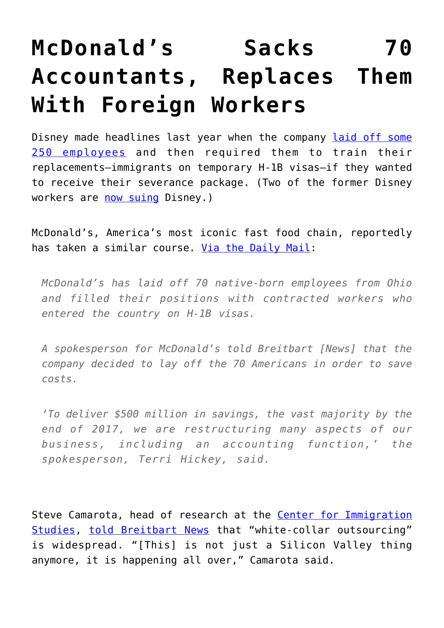## **[McDonald's Sacks 70](https://intellectualtakeout.org/2016/09/mcdonalds-sacks-70-accountants-replaces-them-with-foreign-workers/) [Accountants, Replaces Them](https://intellectualtakeout.org/2016/09/mcdonalds-sacks-70-accountants-replaces-them-with-foreign-workers/) [With Foreign Workers](https://intellectualtakeout.org/2016/09/mcdonalds-sacks-70-accountants-replaces-them-with-foreign-workers/)**

Disney made headlines last year when the company [laid off some](https://www.nytimes.com/2015/06/04/us/last-task-after-layoff-at-disney-train-foreign-replacements.html) [250 employees](https://www.nytimes.com/2015/06/04/us/last-task-after-layoff-at-disney-train-foreign-replacements.html) and then required them to train their replacements—immigrants on temporary H-1B visas—if they wanted to receive their severance package. (Two of the former Disney workers are [now suing](https://www.nytimes.com/2016/01/26/us/lawsuit-claims-disney-colluded-to-replace-us-workers-with-immigrants.html?_r=1) Disney.)

McDonald's, America's most iconic fast food chain, reportedly has taken a similar course. [Via the Daily Mail](http://www.dailymail.co.uk/news/article-3800381/McDonald-s-lays-70-American-accountants-Ohio-gives-jobs-foreign-workers-cost-cutting-measure.html):

*McDonald's has laid off 70 native-born employees from Ohio and filled their positions with contracted workers who entered the country on H-1B visas.*

*A spokesperson for McDonald's told Breitbart [News] that the company decided to lay off the 70 Americans in order to save costs.*

*'To deliver \$500 million in savings, the vast majority by the end of 2017, we are restructuring many aspects of our business, including an accounting function,' the spokesperson, Terri Hickey, said.*

Steve Camarota, head of research at the [Center for Immigration](http://cis.org/) [Studies](http://cis.org/), [told Breitbart News](http://www.breitbart.com/2016-presidential-race/2016/09/18/mcdonalds-hires-foreign-h-1bs-fires-70-american-accounting-staff/) that "white-collar outsourcing" is widespread. "[This] is not just a Silicon Valley thing anymore, it is happening all over," Camarota said.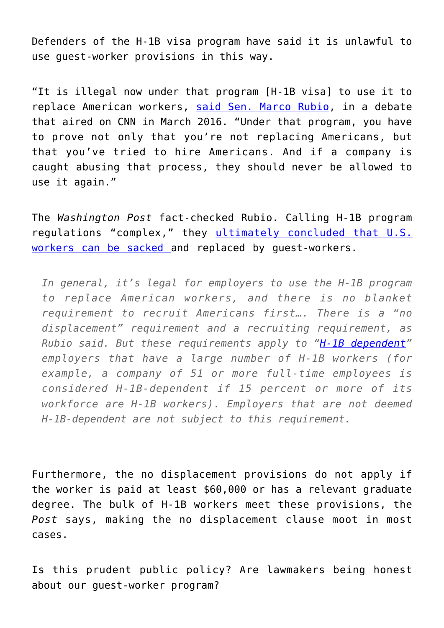Defenders of the H-1B visa program have said it is unlawful to use guest-worker provisions in this way.

"It is illegal now under that program [H-1B visa] to use it to replace American workers, [said Sen. Marco Rubio,](http://www.thewrap.com/marco-rubio-accuses-disney-of-abusing-visa-program-hurting-us-workers/) in a debate that aired on CNN in March 2016. "Under that program, you have to prove not only that you're not replacing Americans, but that you've tried to hire Americans. And if a company is caught abusing that process, they should never be allowed to use it again."

The *Washington Post* fact-checked Rubio. Calling H-1B program regulations "complex," they [ultimately concluded that U.S.](https://www.washingtonpost.com/news/fact-checker/wp/2016/03/17/marco-rubios-claim-that-its-illegal-to-replace-american-workers-using-h-1b-visas/) [workers can be sacked](https://www.washingtonpost.com/news/fact-checker/wp/2016/03/17/marco-rubios-claim-that-its-illegal-to-replace-american-workers-using-h-1b-visas/) and replaced by guest-workers.

*In general, it's legal for employers to use the H-1B program to replace American workers, and there is no blanket requirement to recruit Americans first…. There is a "no displacement" requirement and a recruiting requirement, as Rubio said. But these requirements apply to "[H-1B dependent"](https://www.dol.gov/whd/regs/compliance/FactSheet62/whdfs62C.pdf) employers that have a large number of H-1B workers (for example, a company of 51 or more full-time employees is considered H-1B-dependent if 15 percent or more of its workforce are H-1B workers). Employers that are not deemed H-1B-dependent are not subject to this requirement.*

Furthermore, the no displacement provisions do not apply if the worker is paid at least \$60,000 or has a relevant graduate degree. The bulk of H-1B workers meet these provisions, the *Post* says, making the no displacement clause moot in most cases.

Is this prudent public policy? Are lawmakers being honest about our guest-worker program?